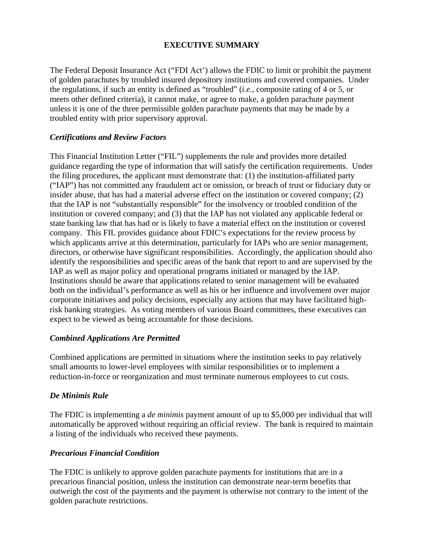# **EXECUTIVE SUMMARY**

The Federal Deposit Insurance Act ("FDI Act') allows the FDIC to limit or prohibit the payment of golden parachutes by troubled insured depository institutions and covered companies. Under the regulations, if such an entity is defined as "troubled" (*i.e.,* composite rating of 4 or 5, or meets other defined criteria), it cannot make, or agree to make, a golden parachute payment unless it is one of the three permissible golden parachute payments that may be made by a troubled entity with prior supervisory approval.

# *Certifications and Review Factors*

This Financial Institution Letter ("FIL") supplements the rule and provides more detailed guidance regarding the type of information that will satisfy the certification requirements. Under the filing procedures, the applicant must demonstrate that: (1) the institution-affiliated party ("IAP") has not committed any fraudulent act or omission, or breach of trust or fiduciary duty or insider abuse, that has had a material adverse effect on the institution or covered company; (2) that the IAP is not "substantially responsible" for the insolvency or troubled condition of the institution or covered company; and (3) that the IAP has not violated any applicable federal or state banking law that has had or is likely to have a material effect on the institution or covered company. This FIL provides guidance about FDIC's expectations for the review process by which applicants arrive at this determination, particularly for IAPs who are senior management, directors, or otherwise have significant responsibilities. Accordingly, the application should also identify the responsibilities and specific areas of the bank that report to and are supervised by the IAP as well as major policy and operational programs initiated or managed by the IAP. Institutions should be aware that applications related to senior management will be evaluated both on the individual's performance as well as his or her influence and involvement over major corporate initiatives and policy decisions, especially any actions that may have facilitated highrisk banking strategies. As voting members of various Board committees, these executives can expect to be viewed as being accountable for those decisions.

# *Combined Applications Are Permitted*

Combined applications are permitted in situations where the institution seeks to pay relatively small amounts to lower-level employees with similar responsibilities or to implement a reduction-in-force or reorganization and must terminate numerous employees to cut costs.

# *De Minimis Rule*

The FDIC is implementing a *de minimis* payment amount of up to \$5,000 per individual that will automatically be approved without requiring an official review. The bank is required to maintain a listing of the individuals who received these payments.

# *Precarious Financial Condition*

The FDIC is unlikely to approve golden parachute payments for institutions that are in a precarious financial position, unless the institution can demonstrate near-term benefits that outweigh the cost of the payments and the payment is otherwise not contrary to the intent of the golden parachute restrictions.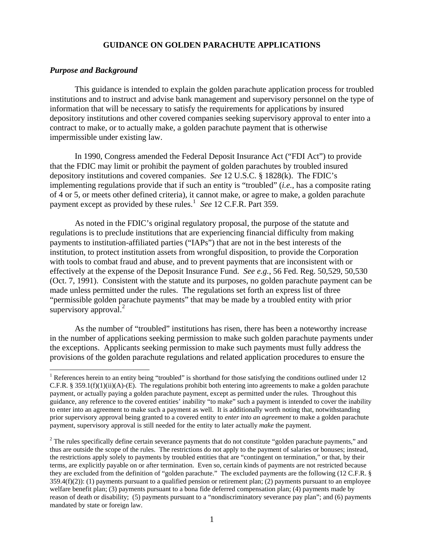# **GUIDANCE ON GOLDEN PARACHUTE APPLICATIONS**

## *Purpose and Background*

 $\overline{a}$ 

 This guidance is intended to explain the golden parachute application process for troubled institutions and to instruct and advise bank management and supervisory personnel on the type of information that will be necessary to satisfy the requirements for applications by insured depository institutions and other covered companies seeking supervisory approval to enter into a contract to make, or to actually make, a golden parachute payment that is otherwise impermissible under existing law.

 In 1990, Congress amended the Federal Deposit Insurance Act ("FDI Act") to provide that the FDIC may limit or prohibit the payment of golden parachutes by troubled insured depository institutions and covered companies. *See* 12 U.S.C. § 1828(k). The FDIC's implementing regulations provide that if such an entity is "troubled" (*i.e.*, has a composite rating of 4 or 5, or meets other defined criteria), it cannot make, or agree to make, a golden parachute payment except as provided by these rules.<sup>[1](#page-1-0)</sup> See 12 C.F.R. Part 359.

 As noted in the FDIC's original regulatory proposal, the purpose of the statute and regulations is to preclude institutions that are experiencing financial difficulty from making payments to institution-affiliated parties ("IAPs") that are not in the best interests of the institution, to protect institution assets from wrongful disposition, to provide the Corporation with tools to combat fraud and abuse, and to prevent payments that are inconsistent with or effectively at the expense of the Deposit Insurance Fund. *See e.g.*, 56 Fed. Reg. 50,529, 50,530 (Oct. 7, 1991). Consistent with the statute and its purposes, no golden parachute payment can be made unless permitted under the rules. The regulations set forth an express list of three "permissible golden parachute payments" that may be made by a troubled entity with prior supervisory approval.<sup>[2](#page-1-1)</sup>

 As the number of "troubled" institutions has risen, there has been a noteworthy increase in the number of applications seeking permission to make such golden parachute payments under the exceptions. Applicants seeking permission to make such payments must fully address the provisions of the golden parachute regulations and related application procedures to ensure the

<span id="page-1-0"></span><sup>&</sup>lt;sup>1</sup> References herein to an entity being "troubled" is shorthand for those satisfying the conditions outlined under 12 C.F.R. § 359.1(f)(1)(ii)(A)-(E). The regulations prohibit both entering into agreements to make a golden parachute payment, or actually paying a golden parachute payment, except as permitted under the rules. Throughout this guidance, any reference to the covered entities' inability "to make" such a payment is intended to cover the inability to enter into an agreement to make such a payment as well. It is additionally worth noting that, notwithstanding prior supervisory approval being granted to a covered entity to *enter into an agreement* to make a golden parachute payment, supervisory approval is still needed for the entity to later actually *make* the payment.

<span id="page-1-1"></span> $2^2$  The rules specifically define certain severance payments that do not constitute "golden parachute payments," and thus are outside the scope of the rules. The restrictions do not apply to the payment of salaries or bonuses; instead, the restrictions apply solely to payments by troubled entities that are "contingent on termination," or that, by their terms, are explicitly payable on or after termination. Even so, certain kinds of payments are not restricted because they are excluded from the definition of "golden parachute." The excluded payments are the following (12 C.F.R. §  $359.4(f)(2)$ : (1) payments pursuant to a qualified pension or retirement plan; (2) payments pursuant to an employee welfare benefit plan; (3) payments pursuant to a bona fide deferred compensation plan; (4) payments made by reason of death or disability; (5) payments pursuant to a "nondiscriminatory severance pay plan"; and (6) payments mandated by state or foreign law.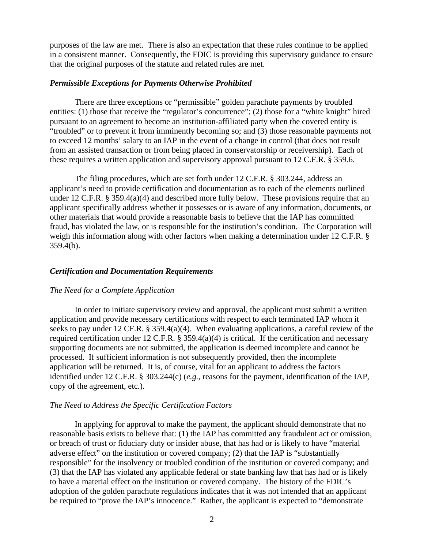purposes of the law are met. There is also an expectation that these rules continue to be applied in a consistent manner. Consequently, the FDIC is providing this supervisory guidance to ensure that the original purposes of the statute and related rules are met.

## *Permissible Exceptions for Payments Otherwise Prohibited*

 There are three exceptions or "permissible" golden parachute payments by troubled entities: (1) those that receive the "regulator's concurrence"; (2) those for a "white knight" hired pursuant to an agreement to become an institution-affiliated party when the covered entity is "troubled" or to prevent it from imminently becoming so; and (3) those reasonable payments not to exceed 12 months' salary to an IAP in the event of a change in control (that does not result from an assisted transaction or from being placed in conservatorship or receivership). Each of these requires a written application and supervisory approval pursuant to 12 C.F.R. § 359.6.

 The filing procedures, which are set forth under 12 C.F.R. § 303.244, address an applicant's need to provide certification and documentation as to each of the elements outlined under 12 C.F.R. § 359.4(a)(4) and described more fully below. These provisions require that an applicant specifically address whether it possesses or is aware of any information, documents, or other materials that would provide a reasonable basis to believe that the IAP has committed fraud, has violated the law, or is responsible for the institution's condition. The Corporation will weigh this information along with other factors when making a determination under 12 C.F.R. § 359.4(b).

### *Certification and Documentation Requirements*

#### *The Need for a Complete Application*

 In order to initiate supervisory review and approval, the applicant must submit a written application and provide necessary certifications with respect to each terminated IAP whom it seeks to pay under 12 CF.R. § 359.4(a)(4). When evaluating applications, a careful review of the required certification under 12 C.F.R. § 359.4(a)(4) is critical. If the certification and necessary supporting documents are not submitted, the application is deemed incomplete and cannot be processed. If sufficient information is not subsequently provided, then the incomplete application will be returned. It is, of course, vital for an applicant to address the factors identified under 12 C.F.R. § 303.244(c) (*e.g.*, reasons for the payment, identification of the IAP, copy of the agreement, etc.).

#### *The Need to Address the Specific Certification Factors*

 In applying for approval to make the payment, the applicant should demonstrate that no reasonable basis exists to believe that: (1) the IAP has committed any fraudulent act or omission, or breach of trust or fiduciary duty or insider abuse, that has had or is likely to have "material adverse effect" on the institution or covered company; (2) that the IAP is "substantially responsible" for the insolvency or troubled condition of the institution or covered company; and (3) that the IAP has violated any applicable federal or state banking law that has had or is likely to have a material effect on the institution or covered company. The history of the FDIC's adoption of the golden parachute regulations indicates that it was not intended that an applicant be required to "prove the IAP's innocence." Rather, the applicant is expected to "demonstrate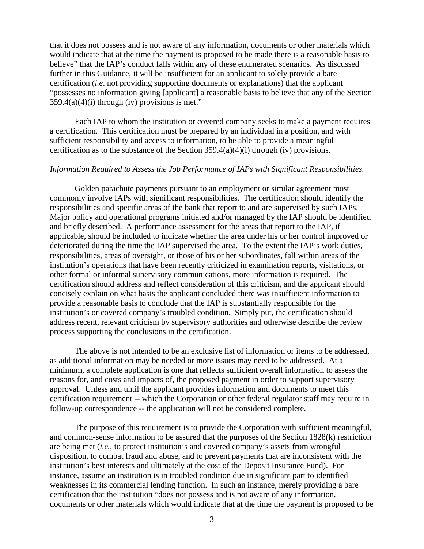that it does not possess and is not aware of any information, documents or other materials which would indicate that at the time the payment is proposed to be made there is a reasonable basis to believe" that the IAP's conduct falls within any of these enumerated scenarios. As discussed further in this Guidance, it will be insufficient for an applicant to solely provide a bare certification (*i.e*. not providing supporting documents or explanations) that the applicant "possesses no information giving [applicant] a reasonable basis to believe that any of the Section  $359.4(a)(4)(i)$  through (iv) provisions is met."

 Each IAP to whom the institution or covered company seeks to make a payment requires a certification. This certification must be prepared by an individual in a position, and with sufficient responsibility and access to information, to be able to provide a meaningful certification as to the substance of the Section  $359.4(a)(4)(i)$  through (iv) provisions.

# *Information Required to Assess the Job Performance of IAPs with Significant Responsibilities.*

 Golden parachute payments pursuant to an employment or similar agreement most commonly involve IAPs with significant responsibilities. The certification should identify the responsibilities and specific areas of the bank that report to and are supervised by such IAPs. Major policy and operational programs initiated and/or managed by the IAP should be identified and briefly described. A performance assessment for the areas that report to the IAP, if applicable, should be included to indicate whether the area under his or her control improved or deteriorated during the time the IAP supervised the area. To the extent the IAP's work duties, responsibilities, areas of oversight, or those of his or her subordinates, fall within areas of the institution's operations that have been recently criticized in examination reports, visitations, or other formal or informal supervisory communications, more information is required. The certification should address and reflect consideration of this criticism, and the applicant should concisely explain on what basis the applicant concluded there was insufficient information to provide a reasonable basis to conclude that the IAP is substantially responsible for the institution's or covered company's troubled condition. Simply put, the certification should address recent, relevant criticism by supervisory authorities and otherwise describe the review process supporting the conclusions in the certification.

 The above is not intended to be an exclusive list of information or items to be addressed, as additional information may be needed or more issues may need to be addressed. At a minimum, a complete application is one that reflects sufficient overall information to assess the reasons for, and costs and impacts of, the proposed payment in order to support supervisory approval. Unless and until the applicant provides information and documents to meet this certification requirement -- which the Corporation or other federal regulator staff may require in follow-up correspondence -- the application will not be considered complete.

 The purpose of this requirement is to provide the Corporation with sufficient meaningful, and common-sense information to be assured that the purposes of the Section 1828(k) restriction are being met (*i.e.*, to protect institution's and covered company's assets from wrongful disposition, to combat fraud and abuse, and to prevent payments that are inconsistent with the institution's best interests and ultimately at the cost of the Deposit Insurance Fund). For instance, assume an institution is in troubled condition due in significant part to identified weaknesses in its commercial lending function. In such an instance, merely providing a bare certification that the institution "does not possess and is not aware of any information, documents or other materials which would indicate that at the time the payment is proposed to be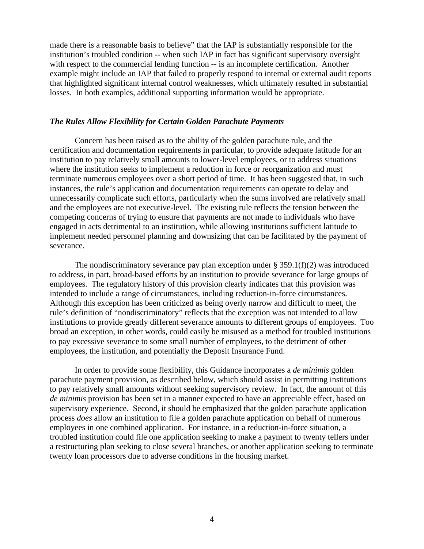made there is a reasonable basis to believe" that the IAP is substantially responsible for the institution's troubled condition -- when such IAP in fact has significant supervisory oversight with respect to the commercial lending function -- is an incomplete certification. Another example might include an IAP that failed to properly respond to internal or external audit reports that highlighted significant internal control weaknesses, which ultimately resulted in substantial losses. In both examples, additional supporting information would be appropriate.

#### *The Rules Allow Flexibility for Certain Golden Parachute Payments*

 Concern has been raised as to the ability of the golden parachute rule, and the certification and documentation requirements in particular, to provide adequate latitude for an institution to pay relatively small amounts to lower-level employees, or to address situations where the institution seeks to implement a reduction in force or reorganization and must terminate numerous employees over a short period of time. It has been suggested that, in such instances, the rule's application and documentation requirements can operate to delay and unnecessarily complicate such efforts, particularly when the sums involved are relatively small and the employees are not executive-level. The existing rule reflects the tension between the competing concerns of trying to ensure that payments are not made to individuals who have engaged in acts detrimental to an institution, while allowing institutions sufficient latitude to implement needed personnel planning and downsizing that can be facilitated by the payment of severance.

The nondiscriminatory severance pay plan exception under  $\S 359.1(f)(2)$  was introduced to address, in part, broad-based efforts by an institution to provide severance for large groups of employees. The regulatory history of this provision clearly indicates that this provision was intended to include a range of circumstances, including reduction-in-force circumstances. Although this exception has been criticized as being overly narrow and difficult to meet, the rule's definition of "nondiscriminatory" reflects that the exception was not intended to allow institutions to provide greatly different severance amounts to different groups of employees. Too broad an exception, in other words, could easily be misused as a method for troubled institutions to pay excessive severance to some small number of employees, to the detriment of other employees, the institution, and potentially the Deposit Insurance Fund.

 In order to provide some flexibility, this Guidance incorporates a *de minimis* golden parachute payment provision, as described below, which should assist in permitting institutions to pay relatively small amounts without seeking supervisory review. In fact, the amount of this *de minimis* provision has been set in a manner expected to have an appreciable effect, based on supervisory experience. Second, it should be emphasized that the golden parachute application process *does* allow an institution to file a golden parachute application on behalf of numerous employees in one combined application. For instance, in a reduction-in-force situation, a troubled institution could file one application seeking to make a payment to twenty tellers under a restructuring plan seeking to close several branches, or another application seeking to terminate twenty loan processors due to adverse conditions in the housing market.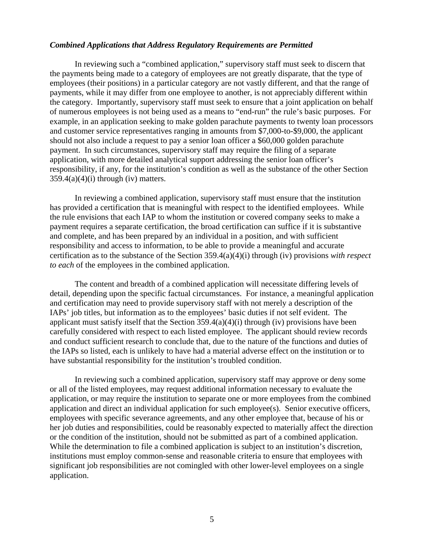#### *Combined Applications that Address Regulatory Requirements are Permitted*

 In reviewing such a "combined application," supervisory staff must seek to discern that the payments being made to a category of employees are not greatly disparate, that the type of employees (their positions) in a particular category are not vastly different, and that the range of payments, while it may differ from one employee to another, is not appreciably different within the category. Importantly, supervisory staff must seek to ensure that a joint application on behalf of numerous employees is not being used as a means to "end-run" the rule's basic purposes. For example, in an application seeking to make golden parachute payments to twenty loan processors and customer service representatives ranging in amounts from \$7,000-to-\$9,000, the applicant should not also include a request to pay a senior loan officer a \$60,000 golden parachute payment. In such circumstances, supervisory staff may require the filing of a separate application, with more detailed analytical support addressing the senior loan officer's responsibility, if any, for the institution's condition as well as the substance of the other Section  $359.4(a)(4)(i)$  through (iv) matters.

 In reviewing a combined application, supervisory staff must ensure that the institution has provided a certification that is meaningful with respect to the identified employees. While the rule envisions that each IAP to whom the institution or covered company seeks to make a payment requires a separate certification, the broad certification can suffice if it is substantive and complete, and has been prepared by an individual in a position, and with sufficient responsibility and access to information, to be able to provide a meaningful and accurate certification as to the substance of the Section 359.4(a)(4)(i) through (iv) provisions *with respect to each* of the employees in the combined application.

 The content and breadth of a combined application will necessitate differing levels of detail, depending upon the specific factual circumstances. For instance, a meaningful application and certification may need to provide supervisory staff with not merely a description of the IAPs' job titles, but information as to the employees' basic duties if not self evident. The applicant must satisfy itself that the Section 359.4(a)(4)(i) through (iv) provisions have been carefully considered with respect to each listed employee. The applicant should review records and conduct sufficient research to conclude that, due to the nature of the functions and duties of the IAPs so listed, each is unlikely to have had a material adverse effect on the institution or to have substantial responsibility for the institution's troubled condition.

 In reviewing such a combined application, supervisory staff may approve or deny some or all of the listed employees, may request additional information necessary to evaluate the application, or may require the institution to separate one or more employees from the combined application and direct an individual application for such employee(s). Senior executive officers, employees with specific severance agreements, and any other employee that, because of his or her job duties and responsibilities, could be reasonably expected to materially affect the direction or the condition of the institution, should not be submitted as part of a combined application. While the determination to file a combined application is subject to an institution's discretion, institutions must employ common-sense and reasonable criteria to ensure that employees with significant job responsibilities are not comingled with other lower-level employees on a single application.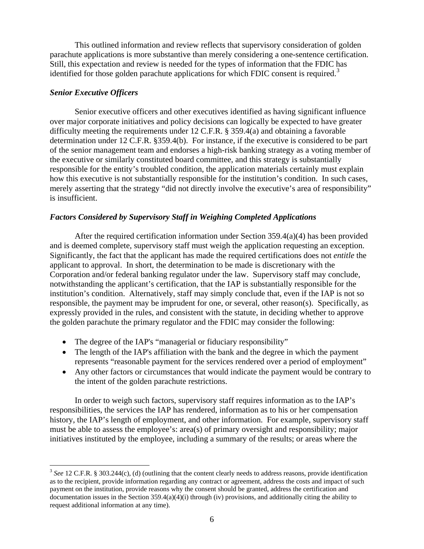This outlined information and review reflects that supervisory consideration of golden parachute applications is more substantive than merely considering a one-sentence certification. Still, this expectation and review is needed for the types of information that the FDIC has identified for those golden parachute applications for which FDIC consent is required.<sup>[3](#page-6-0)</sup>

# *Senior Executive Officers*

 $\overline{a}$ 

 Senior executive officers and other executives identified as having significant influence over major corporate initiatives and policy decisions can logically be expected to have greater difficulty meeting the requirements under 12 C.F.R. § 359.4(a) and obtaining a favorable determination under 12 C.F.R. §359.4(b). For instance, if the executive is considered to be part of the senior management team and endorses a high-risk banking strategy as a voting member of the executive or similarly constituted board committee, and this strategy is substantially responsible for the entity's troubled condition, the application materials certainly must explain how this executive is not substantially responsible for the institution's condition. In such cases, merely asserting that the strategy "did not directly involve the executive's area of responsibility" is insufficient.

# *Factors Considered by Supervisory Staff in Weighing Completed Applications*

 After the required certification information under Section 359.4(a)(4) has been provided and is deemed complete, supervisory staff must weigh the application requesting an exception. Significantly, the fact that the applicant has made the required certifications does not *entitle* the applicant to approval. In short, the determination to be made is discretionary with the Corporation and/or federal banking regulator under the law. Supervisory staff may conclude, notwithstanding the applicant's certification, that the IAP is substantially responsible for the institution's condition. Alternatively, staff may simply conclude that, even if the IAP is not so responsible, the payment may be imprudent for one, or several, other reason(s). Specifically, as expressly provided in the rules, and consistent with the statute, in deciding whether to approve the golden parachute the primary regulator and the FDIC may consider the following:

- The degree of the IAP's "managerial or fiduciary responsibility"
- The length of the IAP's affiliation with the bank and the degree in which the payment represents "reasonable payment for the services rendered over a period of employment"
- Any other factors or circumstances that would indicate the payment would be contrary to the intent of the golden parachute restrictions.

 In order to weigh such factors, supervisory staff requires information as to the IAP's responsibilities, the services the IAP has rendered, information as to his or her compensation history, the IAP's length of employment, and other information. For example, supervisory staff must be able to assess the employee's: area(s) of primary oversight and responsibility; major initiatives instituted by the employee, including a summary of the results; or areas where the

<span id="page-6-0"></span><sup>&</sup>lt;sup>3</sup> See 12 C.F.R. § 303.244(c), (d) (outlining that the content clearly needs to address reasons, provide identification as to the recipient, provide information regarding any contract or agreement, address the costs and impact of such payment on the institution, provide reasons why the consent should be granted, address the certification and documentation issues in the Section  $359.4(a)(4)(i)$  through (iv) provisions, and additionally citing the ability to request additional information at any time).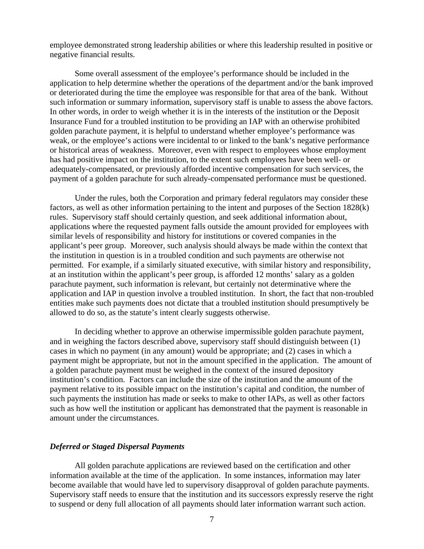employee demonstrated strong leadership abilities or where this leadership resulted in positive or negative financial results.

 Some overall assessment of the employee's performance should be included in the application to help determine whether the operations of the department and/or the bank improved or deteriorated during the time the employee was responsible for that area of the bank. Without such information or summary information, supervisory staff is unable to assess the above factors. In other words, in order to weigh whether it is in the interests of the institution or the Deposit Insurance Fund for a troubled institution to be providing an IAP with an otherwise prohibited golden parachute payment, it is helpful to understand whether employee's performance was weak, or the employee's actions were incidental to or linked to the bank's negative performance or historical areas of weakness. Moreover, even with respect to employees whose employment has had positive impact on the institution, to the extent such employees have been well- or adequately-compensated, or previously afforded incentive compensation for such services, the payment of a golden parachute for such already-compensated performance must be questioned.

 Under the rules, both the Corporation and primary federal regulators may consider these factors, as well as other information pertaining to the intent and purposes of the Section 1828(k) rules. Supervisory staff should certainly question, and seek additional information about, applications where the requested payment falls outside the amount provided for employees with similar levels of responsibility and history for institutions or covered companies in the applicant's peer group. Moreover, such analysis should always be made within the context that the institution in question is in a troubled condition and such payments are otherwise not permitted. For example, if a similarly situated executive, with similar history and responsibility, at an institution within the applicant's peer group, is afforded 12 months' salary as a golden parachute payment, such information is relevant, but certainly not determinative where the application and IAP in question involve a troubled institution. In short, the fact that non-troubled entities make such payments does not dictate that a troubled institution should presumptively be allowed to do so, as the statute's intent clearly suggests otherwise.

 In deciding whether to approve an otherwise impermissible golden parachute payment, and in weighing the factors described above, supervisory staff should distinguish between (1) cases in which no payment (in any amount) would be appropriate; and (2) cases in which a payment might be appropriate, but not in the amount specified in the application. The amount of a golden parachute payment must be weighed in the context of the insured depository institution's condition. Factors can include the size of the institution and the amount of the payment relative to its possible impact on the institution's capital and condition, the number of such payments the institution has made or seeks to make to other IAPs, as well as other factors such as how well the institution or applicant has demonstrated that the payment is reasonable in amount under the circumstances.

# *Deferred or Staged Dispersal Payments*

All golden parachute applications are reviewed based on the certification and other information available at the time of the application. In some instances, information may later become available that would have led to supervisory disapproval of golden parachute payments. Supervisory staff needs to ensure that the institution and its successors expressly reserve the right to suspend or deny full allocation of all payments should later information warrant such action.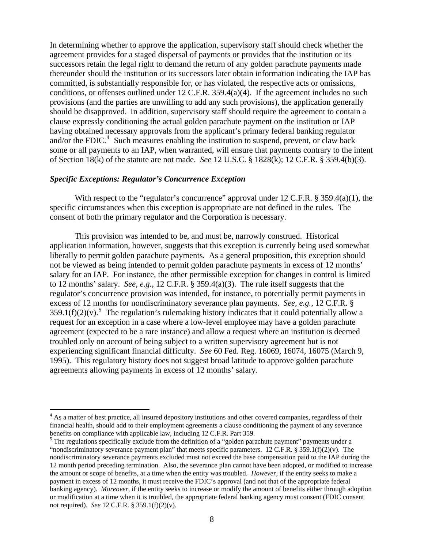In determining whether to approve the application, supervisory staff should check whether the agreement provides for a staged dispersal of payments or provides that the institution or its successors retain the legal right to demand the return of any golden parachute payments made thereunder should the institution or its successors later obtain information indicating the IAP has committed, is substantially responsible for, or has violated, the respective acts or omissions, conditions, or offenses outlined under 12 C.F.R. 359.4(a)(4). If the agreement includes no such provisions (and the parties are unwilling to add any such provisions), the application generally should be disapproved. In addition, supervisory staff should require the agreement to contain a clause expressly conditioning the actual golden parachute payment on the institution or IAP having obtained necessary approvals from the applicant's primary federal banking regulator and/or the FDIC. $4$  Such measures enabling the institution to suspend, prevent, or claw back some or all payments to an IAP, when warranted, will ensure that payments contrary to the intent of Section 18(k) of the statute are not made. *See* 12 U.S.C. § 1828(k); 12 C.F.R. § 359.4(b)(3).

# *Specific Exceptions: Regulator's Concurrence Exception*

 $\overline{a}$ 

With respect to the "regulator's concurrence" approval under 12 C.F.R. § 359.4(a)(1), the specific circumstances when this exception is appropriate are not defined in the rules. The consent of both the primary regulator and the Corporation is necessary.

 This provision was intended to be, and must be, narrowly construed. Historical application information, however, suggests that this exception is currently being used somewhat liberally to permit golden parachute payments. As a general proposition, this exception should not be viewed as being intended to permit golden parachute payments in excess of 12 months' salary for an IAP. For instance, the other permissible exception for changes in control is limited to 12 months' salary. *See, e.g.*, 12 C.F.R. § 359.4(a)(3). The rule itself suggests that the regulator's concurrence provision was intended, for instance, to potentially permit payments in excess of 12 months for nondiscriminatory severance plan payments. *See, e.g.*, 12 C.F.R. §  $359.1(f)(2)(v)$  $359.1(f)(2)(v)$  $359.1(f)(2)(v)$ .<sup>5</sup> The regulation's rulemaking history indicates that it could potentially allow a request for an exception in a case where a low-level employee may have a golden parachute agreement (expected to be a rare instance) and allow a request where an institution is deemed troubled only on account of being subject to a written supervisory agreement but is not experiencing significant financial difficulty. *See* 60 Fed. Reg. 16069, 16074, 16075 (March 9, 1995). This regulatory history does not suggest broad latitude to approve golden parachute agreements allowing payments in excess of 12 months' salary.

<span id="page-8-0"></span><sup>&</sup>lt;sup>4</sup> As a matter of best practice, all insured depository institutions and other covered companies, regardless of their financial health, should add to their employment agreements a clause conditioning the payment of any severance benefits on compliance with applicable law, including 12 C.F.R. Part 359.

<span id="page-8-1"></span><sup>&</sup>lt;sup>5</sup> The regulations specifically exclude from the definition of a "golden parachute payment" payments under a "nondiscriminatory severance payment plan" that meets specific parameters.  $12$  C.F.R. § 359.1(f)(2)(v). The nondiscriminatory severance payments excluded must not exceed the base compensation paid to the IAP during the 12 month period preceding termination. Also, the severance plan cannot have been adopted, or modified to increase the amount or scope of benefits, at a time when the entity was troubled. *However*, if the entity seeks to make a payment in excess of 12 months, it must receive the FDIC's approval (and not that of the appropriate federal banking agency). *Moreover*, if the entity seeks to increase or modify the amount of benefits either through adoption or modification at a time when it is troubled, the appropriate federal banking agency must consent (FDIC consent not required). *See* 12 C.F.R. § 359.1(f)(2)(v).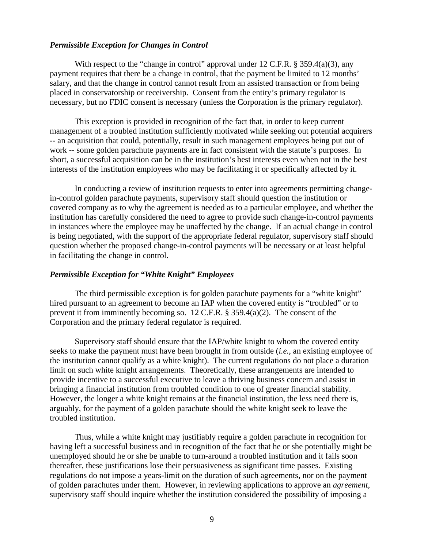## *Permissible Exception for Changes in Control*

With respect to the "change in control" approval under 12 C.F.R.  $\S$  359.4(a)(3), any payment requires that there be a change in control, that the payment be limited to 12 months' salary, and that the change in control cannot result from an assisted transaction or from being placed in conservatorship or receivership. Consent from the entity's primary regulator is necessary, but no FDIC consent is necessary (unless the Corporation is the primary regulator).

 This exception is provided in recognition of the fact that, in order to keep current management of a troubled institution sufficiently motivated while seeking out potential acquirers -- an acquisition that could, potentially, result in such management employees being put out of work -- some golden parachute payments are in fact consistent with the statute's purposes. In short, a successful acquisition can be in the institution's best interests even when not in the best interests of the institution employees who may be facilitating it or specifically affected by it.

 In conducting a review of institution requests to enter into agreements permitting changein-control golden parachute payments, supervisory staff should question the institution or covered company as to why the agreement is needed as to a particular employee, and whether the institution has carefully considered the need to agree to provide such change-in-control payments in instances where the employee may be unaffected by the change. If an actual change in control is being negotiated, with the support of the appropriate federal regulator, supervisory staff should question whether the proposed change-in-control payments will be necessary or at least helpful in facilitating the change in control.

# *Permissible Exception for "White Knight" Employees*

 The third permissible exception is for golden parachute payments for a "white knight" hired pursuant to an agreement to become an IAP when the covered entity is "troubled" or to prevent it from imminently becoming so. 12 C.F.R. § 359.4(a)(2). The consent of the Corporation and the primary federal regulator is required.

 Supervisory staff should ensure that the IAP/white knight to whom the covered entity seeks to make the payment must have been brought in from outside (*i.e.*, an existing employee of the institution cannot qualify as a white knight). The current regulations do not place a duration limit on such white knight arrangements. Theoretically, these arrangements are intended to provide incentive to a successful executive to leave a thriving business concern and assist in bringing a financial institution from troubled condition to one of greater financial stability. However, the longer a white knight remains at the financial institution, the less need there is, arguably, for the payment of a golden parachute should the white knight seek to leave the troubled institution.

 Thus, while a white knight may justifiably require a golden parachute in recognition for having left a successful business and in recognition of the fact that he or she potentially might be unemployed should he or she be unable to turn-around a troubled institution and it fails soon thereafter, these justifications lose their persuasiveness as significant time passes. Existing regulations do not impose a years-limit on the duration of such agreements, nor on the payment of golden parachutes under them. However, in reviewing applications to approve an *agreement*, supervisory staff should inquire whether the institution considered the possibility of imposing a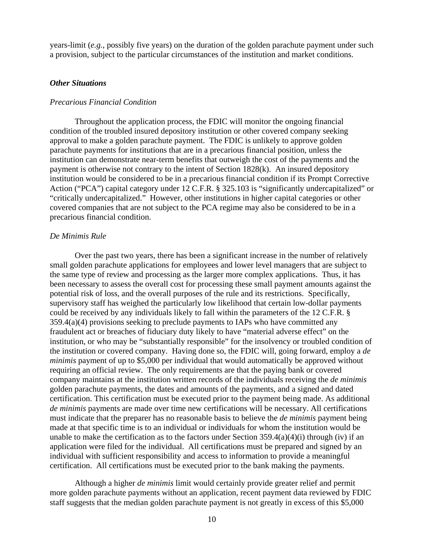years-limit (*e.g.*, possibly five years) on the duration of the golden parachute payment under such a provision, subject to the particular circumstances of the institution and market conditions.

# *Other Situations*

# *Precarious Financial Condition*

 Throughout the application process, the FDIC will monitor the ongoing financial condition of the troubled insured depository institution or other covered company seeking approval to make a golden parachute payment. The FDIC is unlikely to approve golden parachute payments for institutions that are in a precarious financial position, unless the institution can demonstrate near-term benefits that outweigh the cost of the payments and the payment is otherwise not contrary to the intent of Section 1828(k). An insured depository institution would be considered to be in a precarious financial condition if its Prompt Corrective Action ("PCA") capital category under 12 C.F.R. § 325.103 is "significantly undercapitalized" or "critically undercapitalized." However, other institutions in higher capital categories or other covered companies that are not subject to the PCA regime may also be considered to be in a precarious financial condition.

#### *De Minimis Rule*

 Over the past two years, there has been a significant increase in the number of relatively small golden parachute applications for employees and lower level managers that are subject to the same type of review and processing as the larger more complex applications. Thus, it has been necessary to assess the overall cost for processing these small payment amounts against the potential risk of loss, and the overall purposes of the rule and its restrictions. Specifically, supervisory staff has weighed the particularly low likelihood that certain low-dollar payments could be received by any individuals likely to fall within the parameters of the 12 C.F.R. § 359.4(a)(4) provisions seeking to preclude payments to IAPs who have committed any fraudulent act or breaches of fiduciary duty likely to have "material adverse effect" on the institution, or who may be "substantially responsible" for the insolvency or troubled condition of the institution or covered company. Having done so, the FDIC will, going forward, employ a *de minimis* payment of up to \$5,000 per individual that would automatically be approved without requiring an official review. The only requirements are that the paying bank or covered company maintains at the institution written records of the individuals receiving the *de minimis* golden parachute payments, the dates and amounts of the payments, and a signed and dated certification. This certification must be executed prior to the payment being made. As additional *de minimis* payments are made over time new certifications will be necessary. All certifications must indicate that the preparer has no reasonable basis to believe the *de minimis* payment being made at that specific time is to an individual or individuals for whom the institution would be unable to make the certification as to the factors under Section  $359.4(a)(4)(i)$  through (iv) if an application were filed for the individual. All certifications must be prepared and signed by an individual with sufficient responsibility and access to information to provide a meaningful certification. All certifications must be executed prior to the bank making the payments.

 Although a higher *de minimis* limit would certainly provide greater relief and permit more golden parachute payments without an application, recent payment data reviewed by FDIC staff suggests that the median golden parachute payment is not greatly in excess of this \$5,000